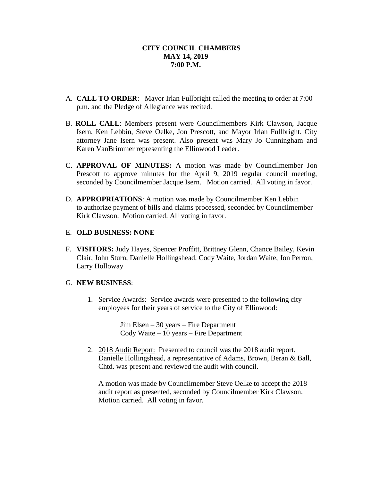- A. **CALL TO ORDER**: Mayor Irlan Fullbright called the meeting to order at 7:00 p.m. and the Pledge of Allegiance was recited.
- B. **ROLL CALL**: Members present were Councilmembers Kirk Clawson, Jacque Isern, Ken Lebbin, Steve Oelke, Jon Prescott, and Mayor Irlan Fullbright. City attorney Jane Isern was present. Also present was Mary Jo Cunningham and Karen VanBrimmer representing the Ellinwood Leader.
- C. **APPROVAL OF MINUTES:** A motion was made by Councilmember Jon Prescott to approve minutes for the April 9, 2019 regular council meeting, seconded by Councilmember Jacque Isern. Motion carried. All voting in favor.
- D. **APPROPRIATIONS**: A motion was made by Councilmember Ken Lebbin to authorize payment of bills and claims processed, seconded by Councilmember Kirk Clawson. Motion carried. All voting in favor.

## E. **OLD BUSINESS: NONE**

F. **VISITORS:** Judy Hayes, Spencer Proffitt, Brittney Glenn, Chance Bailey, Kevin Clair, John Sturn, Danielle Hollingshead, Cody Waite, Jordan Waite, Jon Perron, Larry Holloway

## G. **NEW BUSINESS**:

1. Service Awards: Service awards were presented to the following city employees for their years of service to the City of Ellinwood:

> Jim Elsen – 30 years – Fire Department Cody Waite – 10 years – Fire Department

2. 2018 Audit Report: Presented to council was the 2018 audit report. Danielle Hollingshead, a representative of Adams, Brown, Beran & Ball, Chtd. was present and reviewed the audit with council.

A motion was made by Councilmember Steve Oelke to accept the 2018 audit report as presented, seconded by Councilmember Kirk Clawson. Motion carried. All voting in favor.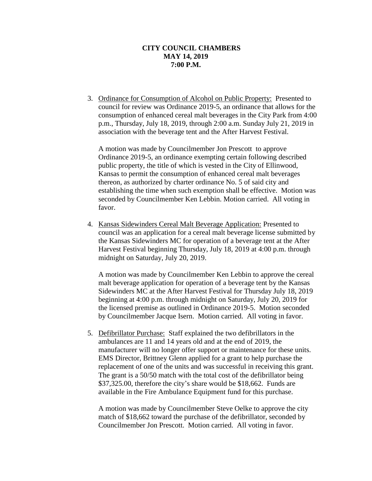3. Ordinance for Consumption of Alcohol on Public Property: Presented to council for review was Ordinance 2019-5, an ordinance that allows for the consumption of enhanced cereal malt beverages in the City Park from 4:00 p.m., Thursday, July 18, 2019, through 2:00 a.m. Sunday July 21, 2019 in association with the beverage tent and the After Harvest Festival.

A motion was made by Councilmember Jon Prescott to approve Ordinance 2019-5, an ordinance exempting certain following described public property, the title of which is vested in the City of Ellinwood, Kansas to permit the consumption of enhanced cereal malt beverages thereon, as authorized by charter ordinance No. 5 of said city and establishing the time when such exemption shall be effective. Motion was seconded by Councilmember Ken Lebbin. Motion carried. All voting in favor.

4. Kansas Sidewinders Cereal Malt Beverage Application: Presented to council was an application for a cereal malt beverage license submitted by the Kansas Sidewinders MC for operation of a beverage tent at the After Harvest Festival beginning Thursday, July 18, 2019 at 4:00 p.m. through midnight on Saturday, July 20, 2019.

A motion was made by Councilmember Ken Lebbin to approve the cereal malt beverage application for operation of a beverage tent by the Kansas Sidewinders MC at the After Harvest Festival for Thursday July 18, 2019 beginning at 4:00 p.m. through midnight on Saturday, July 20, 2019 for the licensed premise as outlined in Ordinance 2019-5. Motion seconded by Councilmember Jacque Isern. Motion carried. All voting in favor.

5. Defibrillator Purchase: Staff explained the two defibrillators in the ambulances are 11 and 14 years old and at the end of 2019, the manufacturer will no longer offer support or maintenance for these units. EMS Director, Brittney Glenn applied for a grant to help purchase the replacement of one of the units and was successful in receiving this grant. The grant is a 50/50 match with the total cost of the defibrillator being \$37,325.00, therefore the city's share would be \$18,662. Funds are available in the Fire Ambulance Equipment fund for this purchase.

A motion was made by Councilmember Steve Oelke to approve the city match of \$18,662 toward the purchase of the defibrillator, seconded by Councilmember Jon Prescott. Motion carried. All voting in favor.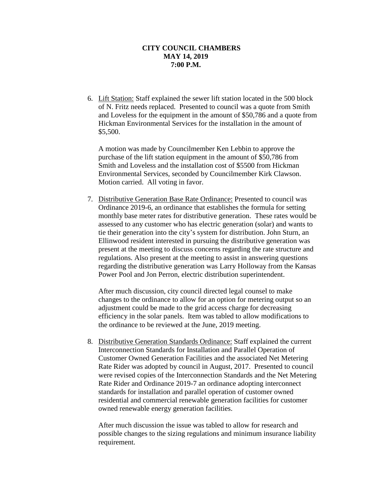6. Lift Station: Staff explained the sewer lift station located in the 500 block of N. Fritz needs replaced. Presented to council was a quote from Smith and Loveless for the equipment in the amount of \$50,786 and a quote from Hickman Environmental Services for the installation in the amount of \$5,500.

A motion was made by Councilmember Ken Lebbin to approve the purchase of the lift station equipment in the amount of \$50,786 from Smith and Loveless and the installation cost of \$5500 from Hickman Environmental Services, seconded by Councilmember Kirk Clawson. Motion carried. All voting in favor.

7. Distributive Generation Base Rate Ordinance: Presented to council was Ordinance 2019-6, an ordinance that establishes the formula for setting monthly base meter rates for distributive generation. These rates would be assessed to any customer who has electric generation (solar) and wants to tie their generation into the city's system for distribution. John Sturn, an Ellinwood resident interested in pursuing the distributive generation was present at the meeting to discuss concerns regarding the rate structure and regulations. Also present at the meeting to assist in answering questions regarding the distributive generation was Larry Holloway from the Kansas Power Pool and Jon Perron, electric distribution superintendent.

After much discussion, city council directed legal counsel to make changes to the ordinance to allow for an option for metering output so an adjustment could be made to the grid access charge for decreasing efficiency in the solar panels. Item was tabled to allow modifications to the ordinance to be reviewed at the June, 2019 meeting.

8. Distributive Generation Standards Ordinance: Staff explained the current Interconnection Standards for Installation and Parallel Operation of Customer Owned Generation Facilities and the associated Net Metering Rate Rider was adopted by council in August, 2017. Presented to council were revised copies of the Interconnection Standards and the Net Metering Rate Rider and Ordinance 2019-7 an ordinance adopting interconnect standards for installation and parallel operation of customer owned residential and commercial renewable generation facilities for customer owned renewable energy generation facilities.

After much discussion the issue was tabled to allow for research and possible changes to the sizing regulations and minimum insurance liability requirement.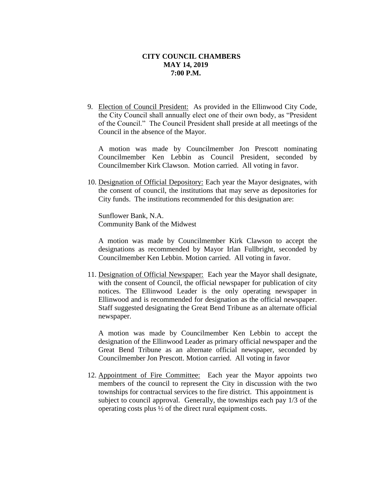9. Election of Council President: As provided in the Ellinwood City Code, the City Council shall annually elect one of their own body, as "President of the Council." The Council President shall preside at all meetings of the Council in the absence of the Mayor.

A motion was made by Councilmember Jon Prescott nominating Councilmember Ken Lebbin as Council President, seconded by Councilmember Kirk Clawson. Motion carried. All voting in favor.

10. Designation of Official Depository: Each year the Mayor designates, with the consent of council, the institutions that may serve as depositories for City funds. The institutions recommended for this designation are:

Sunflower Bank, N.A. Community Bank of the Midwest

A motion was made by Councilmember Kirk Clawson to accept the designations as recommended by Mayor Irlan Fullbright, seconded by Councilmember Ken Lebbin. Motion carried. All voting in favor.

11. Designation of Official Newspaper: Each year the Mayor shall designate, with the consent of Council, the official newspaper for publication of city notices. The Ellinwood Leader is the only operating newspaper in Ellinwood and is recommended for designation as the official newspaper. Staff suggested designating the Great Bend Tribune as an alternate official newspaper.

A motion was made by Councilmember Ken Lebbin to accept the designation of the Ellinwood Leader as primary official newspaper and the Great Bend Tribune as an alternate official newspaper, seconded by Councilmember Jon Prescott. Motion carried. All voting in favor

12. Appointment of Fire Committee: Each year the Mayor appoints two members of the council to represent the City in discussion with the two townships for contractual services to the fire district. This appointment is subject to council approval. Generally, the townships each pay 1/3 of the operating costs plus ½ of the direct rural equipment costs.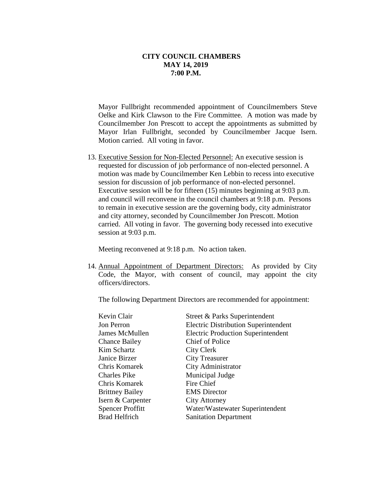Mayor Fullbright recommended appointment of Councilmembers Steve Oelke and Kirk Clawson to the Fire Committee. A motion was made by Councilmember Jon Prescott to accept the appointments as submitted by Mayor Irlan Fullbright, seconded by Councilmember Jacque Isern. Motion carried. All voting in favor.

13. Executive Session for Non-Elected Personnel: An executive session is requested for discussion of job performance of non-elected personnel. A motion was made by Councilmember Ken Lebbin to recess into executive session for discussion of job performance of non-elected personnel. Executive session will be for fifteen (15) minutes beginning at 9:03 p.m. and council will reconvene in the council chambers at 9:18 p.m. Persons to remain in executive session are the governing body, city administrator and city attorney, seconded by Councilmember Jon Prescott. Motion carried. All voting in favor. The governing body recessed into executive session at 9:03 p.m.

Meeting reconvened at 9:18 p.m. No action taken.

14. Annual Appointment of Department Directors: As provided by City Code, the Mayor, with consent of council, may appoint the city officers/directors.

The following Department Directors are recommended for appointment:

| Kevin Clair             | Street & Parks Superintendent               |
|-------------------------|---------------------------------------------|
| Jon Perron              | <b>Electric Distribution Superintendent</b> |
| James McMullen          | <b>Electric Production Superintendent</b>   |
| <b>Chance Bailey</b>    | <b>Chief of Police</b>                      |
| Kim Schartz             | City Clerk                                  |
| Janice Birzer           | <b>City Treasurer</b>                       |
| Chris Komarek           | City Administrator                          |
| <b>Charles Pike</b>     | Municipal Judge                             |
| Chris Komarek           | Fire Chief                                  |
| <b>Brittney Bailey</b>  | <b>EMS</b> Director                         |
| Isern & Carpenter       | City Attorney                               |
| <b>Spencer Proffitt</b> | Water/Wastewater Superintendent             |
| <b>Brad Helfrich</b>    | <b>Sanitation Department</b>                |
|                         |                                             |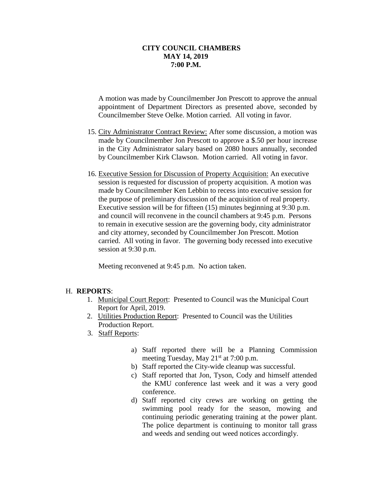A motion was made by Councilmember Jon Prescott to approve the annual appointment of Department Directors as presented above, seconded by Councilmember Steve Oelke. Motion carried. All voting in favor.

- 15. City Administrator Contract Review: After some discussion, a motion was made by Councilmember Jon Prescott to approve a \$.50 per hour increase in the City Administrator salary based on 2080 hours annually, seconded by Councilmember Kirk Clawson. Motion carried. All voting in favor.
- 16. Executive Session for Discussion of Property Acquisition: An executive session is requested for discussion of property acquisition. A motion was made by Councilmember Ken Lebbin to recess into executive session for the purpose of preliminary discussion of the acquisition of real property. Executive session will be for fifteen (15) minutes beginning at 9:30 p.m. and council will reconvene in the council chambers at 9:45 p.m. Persons to remain in executive session are the governing body, city administrator and city attorney, seconded by Councilmember Jon Prescott. Motion carried. All voting in favor. The governing body recessed into executive session at 9:30 p.m.

Meeting reconvened at 9:45 p.m. No action taken.

## H. **REPORTS**:

- 1. Municipal Court Report: Presented to Council was the Municipal Court Report for April, 2019.
- 2. Utilities Production Report: Presented to Council was the Utilities Production Report.
- 3. Staff Reports:
	- a) Staff reported there will be a Planning Commission meeting Tuesday, May  $21<sup>st</sup>$  at 7:00 p.m.
	- b) Staff reported the City-wide cleanup was successful.
	- c) Staff reported that Jon, Tyson, Cody and himself attended the KMU conference last week and it was a very good conference.
	- d) Staff reported city crews are working on getting the swimming pool ready for the season, mowing and continuing periodic generating training at the power plant. The police department is continuing to monitor tall grass and weeds and sending out weed notices accordingly.